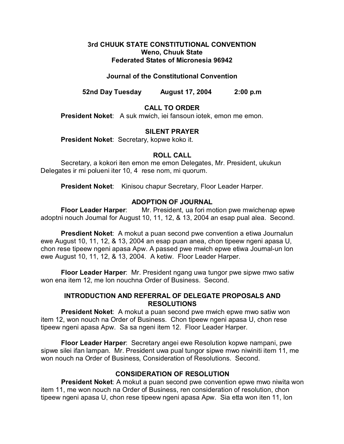## **3rd CHUUK STATE CONSTITUTIONAL CONVENTION Weno, Chuuk State Federated States of Micronesia 96942**

## **Journal of the Constitutional Convention**

**52nd Day Tuesday August 17, 2004 2:00 p.m**

# **CALL TO ORDER**

**President Noket**: A suk mwich, iei fansoun iotek, emon me emon.

### **SILENT PRAYER**

**President Noket**: Secretary, kopwe koko it.

### **ROLL CALL**

Secretary, a kokori iten emon me emon Delegates, Mr. President, ukukun Delegates ir mi polueni iter 10, 4 rese nom, mi quorum.

**President Noket**: Kinisou chapur Secretary, Floor Leader Harper.

## **ADOPTION OF JOURNAL**

**Floor Leader Harper**: Mr. President, ua fori motion pwe mwichenap epwe adoptni nouch Journal for August 10, 11, 12, & 13, 2004 an esap pual alea. Second.

**Presdient Noket**: A mokut a puan second pwe convention a etiwa Journalun ewe August 10, 11, 12, & 13, 2004 an esap puan anea, chon tipeew ngeni apasa U, chon rese tipeew ngeni apasa Apw. A passed pwe mwich epwe etiwa Journal-un lon ewe August 10, 11, 12, & 13, 2004. A ketiw. Floor Leader Harper.

**Floor Leader Harper**: Mr. President ngang uwa tungor pwe sipwe mwo satiw won ena item 12, me lon nouchna Order of Business. Second.

# **INTRODUCTION AND REFERRAL OF DELEGATE PROPOSALS AND RESOLUTIONS**

**President Noket:** A mokut a puan second pwe mwich epwe mwo satiw won item 12, won nouch na Order of Business. Chon tipeew ngeni apasa U, chon rese tipeew ngeni apasa Apw. Sa sa ngeni item 12. Floor Leader Harper.

**Floor Leader Harper**: Secretary angei ewe Resolution kopwe nampani, pwe sipwe silei ifan lampan. Mr. President uwa pual tungor sipwe mwo niwiniti item 11, me won nouch na Order of Business, Consideration of Resolutions. Second.

# **CONSIDERATION OF RESOLUTION**

**President Noket**: A mokut a puan second pwe convention epwe mwo niwita won item 11, me won nouch na Order of Business, ren consideration of resolution, chon tipeew ngeni apasa U, chon rese tipeew ngeni apasa Apw. Sia etta won iten 11, lon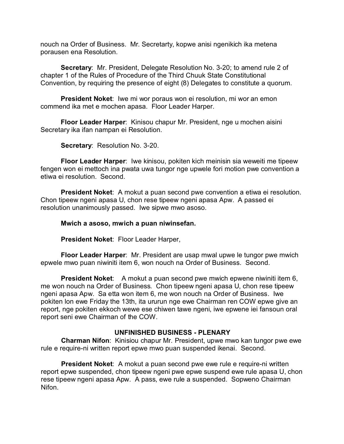nouch na Order of Business. Mr. Secretarty, kopwe anisi ngenikich ika metena porausen ena Resolution.

**Secretary**: Mr. President, Delegate Resolution No. 3-20; to amend rule 2 of chapter 1 of the Rules of Procedure of the Third Chuuk State Constitutional Convention, by requiring the presence of eight (8) Delegates to constitute a quorum.

**President Noket**: Iwe mi wor poraus won ei resolution, mi wor an emon commend ika met e mochen apasa. Floor Leader Harper.

**Floor Leader Harper**: Kinisou chapur Mr. President, nge u mochen aisini Secretary ika ifan nampan ei Resolution.

**Secretary**: Resolution No. 3-20.

**Floor Leader Harper**: Iwe kinisou, pokiten kich meinisin sia weweiti me tipeew fengen won ei mettoch ina pwata uwa tungor nge upwele fori motion pwe convention a etiwa ei resolution. Second.

**President Noket**: A mokut a puan second pwe convention a etiwa ei resolution. Chon tipeew ngeni apasa U, chon rese tipeew ngeni apasa Apw. A passed ei resolution unanimously passed. Iwe sipwe mwo asoso.

**Mwich a asoso, mwich a puan niwinsefan.**

**President Noket**: Floor Leader Harper,

**Floor Leader Harper**: Mr. President are usap mwal upwe le tungor pwe mwich epwele mwo puan niwiniti item 6, won nouch na Order of Business. Second.

**President Noket**: A mokut a puan second pwe mwich epwene niwiniti item 6, me won nouch na Order of Business. Chon tipeew ngeni apasa U, chon rese tipeew ngeni apasa Apw. Sa etta won item 6, me won nouch na Order of Business. Iwe pokiten lon ewe Friday the 13th, ita ururun nge ewe Chairman ren COW epwe give an report, nge pokiten ekkoch wewe ese chiwen tawe ngeni, iwe epwene iei fansoun oral report seni ewe Chairman of the COW.

# **UNFINISHED BUSINESS - PLENARY**

**Charman Nifon**: Kinisiou chapur Mr. President, upwe mwo kan tungor pwe ewe rule e require-ni written report epwe mwo puan suspended ikenai. Second.

**President Noket**: A mokut a puan second pwe ewe rule e require-ni written report epwe suspended, chon tipeew ngeni pwe epwe suspend ewe rule apasa U, chon rese tipeew ngeni apasa Apw. A pass, ewe rule a suspended. Sopweno Chairman Nifon.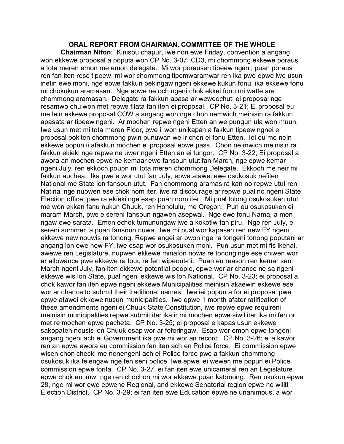## **ORAL REPORT FROM CHAIRMAN, COMMITTEE OF THE WHOLE**

**Chairman Nifon**: Kinisou chapur, iwe non ewe Friday, convention a angang won ekkewe proposal a poputa won CP No. 3-07; CD3, mi chommong ekkewe poraus a tota meren emon me emon delegate. Mi wor porausen tipeew ngeni, puan poraus ren fan iten rese tipeew, mi wor chommong tipemwaramwar ren ika pwe epwe iwe usun inetin ewe moni, nge epwe fakkun pekingaw ngeni ekkewe kukun fonu, ika ekkewe fonu mi chokukun aramasan. Nge epwe ne och ngeni chok ekkei fonu mi watte are chommong aramasan. Delegate ra fakkun apasa ar weweochuti ei proposal nge resamwo chu won met repwe filata fan iten ei proposal. CP No. 3-21; Ei proposal eu me lein ekkewe proposal COW a angang won nge chon nemwich meinisin ra fakkun apasata ar tipeew ngeni. Ar mochen repwe ngeni Etten an we pungun uta won muun. Iwe usun met mi tota meren Floor, pwe ii won unikapan a fakkun tipeew ngnei ei proposal pokiten chommong pwin punuwan we ir chon ei fonu Etten. Iei eu me nein ekkewe popun ii afakkun mochen ei proposal epwe pass. Chon ne mwich meinisin ra fakkun ekieki nge repwe ne uwer ngeni Etten an ei tungor. CP No. 3-22; Ei proposal a awora an mochen epwe ne kemaar ewe fansoun utut fan March, nge epwe kemar ngeni July, ren ekkoch poupn mi tota meren chommong Delegate. Ekkoch me neir mi fakkun auchea. Ika pwe e wor utut fan July, epwe atawei ewe osukosuk nefilen National me State lon fansoun utut. Fan chommong aramas ra kan no repwe utut ren Natinal nge nupwen ese chok nom iter, iwe ra discourage ar repwe pual no ngeni State Election office, pwe ra ekieki nge esap puan nom iter. Mi pual tolong osukosuken utut me won ekkan fanu nukun Chuuk, ren Honolulu, me Oregon. Pun eu osukosuken ei maram March, pwe e sereni fansoun ngawen asepwal. Nge ewe fonu Nama, a men ngaw ewe sarata. Emon echok tumunungaw iwe a kokotiw fan piru. Nge ren July, e sereni summer, a puan fansoun nuwa. Iwe mi pual wor kapasen ren new FY ngeni ekkewe new nouwis ra tonong. Repwe angei ar pwon nge ra tongeni tonong poputani ar angang lon ewe new FY, iwe esap wor osukosuken moni. Pun usun met mi fis ikenai, awewe ren Legislature, nupwen ekkewe minafon nowis re tonong nge ese chiwen wor ar allowance pwe ekkewe ra touu ra fen wipeout-ni. Puan eu reason ren kemar seni March ngeni July, fan iten ekkewe potential people, epwe wor ar chance ne sa ngeni ekkewe wis lon State, pual ngeni ekkewe wis lon National. CP No. 3-23; ei proposal a chok kawor fan iten epwe ngeni ekkewe Municipalities meinisin akaewin ekkewe ese wor ar chance to submit their traditional names. Iwe iei popun a for ei proposal pwe epwe atawei ekkewe nusun municipalities. Iwe epwe 1 month afater ratification of these amendments ngeni ei Chuuk State Constitution, iwe repwe epwe requireni meinisin municipalities repwe submit iter ika ir mi mochen epwe siwil iter ika mi fen or met re mochen epwe pacheta. CP No. 3-25; ei proposal e kapas usun ekkewe sakopaten nousis lon Chuuk esap wor ar foforingaw. Esap wor emon epwe tongeni angang ngeni ach ei Government ika pwe mi wor an record. CP No. 3-26; ei a kawor ren an epwe awora eu commission fan iten ach en Police force. Ei commission epwe wisen chon checki me nenengeni ach ei Police force pwe a fakkun chommong osukosuk ika feiengaw nge fen seni police. Iwe epwe iei wewen me popun ei Police commission epwe forita. CP No. 3-27, ei fan iten ewe unicameral ren an Legislature epwe chok eu imw, nge ren chochon mi wor ekkewe puan katonong. Ren ukukun epwe 28, nge mi wor ewe epwene Regional, and ekkewe Senatorial region epwe ne wiliti Election District. CP No. 3-29; ei fan iten ewe Education epwe ne unanimous, a wor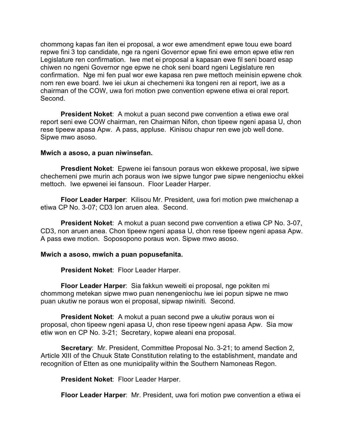chommong kapas fan iten ei proposal, a wor ewe amendment epwe touu ewe board repwe fini 3 top candidate, nge ra ngeni Governor epwe fini ewe emon epwe etiw ren Legislature ren confirmation. Iwe met ei proposal a kapasan ewe fil seni board esap chiwen no ngeni Governor nge epwe ne chok seni board ngeni Legislature ren confirmation. Nge mi fen pual wor ewe kapasa ren pwe mettoch meinisin epwene chok nom ren ewe board. Iwe iei ukun ai chechemeni ika tongeni ren ai report, iwe as a chairman of the COW, uwa fori motion pwe convention epwene etiwa ei oral report. Second.

**President Noket**: A mokut a puan second pwe convention a etiwa ewe oral report seni ewe COW chairman, ren Chairman Nifon, chon tipeew ngeni apasa U, chon rese tipeew apasa Apw. A pass, appluse. Kinisou chapur ren ewe job well done. Sipwe mwo asoso.

#### **Mwich a asoso, a puan niwinsefan.**

**Presdient Noket**: Epwene iei fansoun poraus won ekkewe proposal, iwe sipwe chechemeni pwe murin ach poraus won iwe sipwe tungor pwe sipwe nengeniochu ekkei mettoch. Iwe epwenei iei fansoun. Floor Leader Harper.

**Floor Leader Harper**: Kilisou Mr. President, uwa fori motion pwe mwichenap a etiwa CP No. 3-07; CD3 lon aruen alea. Second.

**President Noket**: A mokut a puan second pwe convention a etiwa CP No. 3-07, CD3, non aruen anea. Chon tipeew ngeni apasa U, chon rese tipeew ngeni apasa Apw. A pass ewe motion. Soposopono poraus won. Sipwe mwo asoso.

#### **Mwich a asoso, mwich a puan popusefanita.**

**President Noket**: Floor Leader Harper.

**Floor Leader Harper**: Sia fakkun weweiti ei proposal, nge pokiten mi chommong metekan sipwe mwo puan nenengeniochu iwe iei popun sipwe ne mwo puan ukutiw ne poraus won ei proposal, sipwap niwiniti. Second.

**President Noket**: A mokut a puan second pwe a ukutiw poraus won ei proposal, chon tipeew ngeni apasa U, chon rese tipeew ngeni apasa Apw. Sia mow etiw won en CP No. 3-21; Secretary, kopwe aleani ena proposal.

**Secretary**: Mr. President, Committee Proposal No. 3-21; to amend Section 2, Article XIII of the Chuuk State Constitution relating to the establishment, mandate and recognition of Etten as one municipality within the Southern Namoneas Regon.

**President Noket**: Floor Leader Harper.

**Floor Leader Harper**: Mr. President, uwa fori motion pwe convention a etiwa ei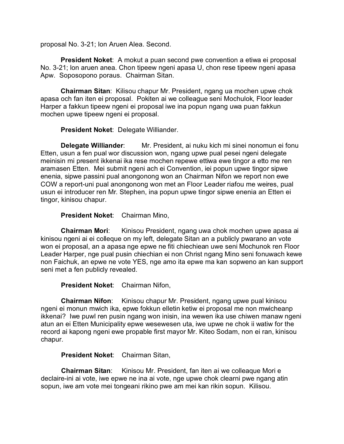proposal No. 3-21; lon Aruen Alea. Second.

**President Noket**: A mokut a puan second pwe convention a etiwa ei proposal No. 3-21; lon aruen anea. Chon tipeew ngeni apasa U, chon rese tipeew ngeni apasa Apw. Soposopono poraus. Chairman Sitan.

**Chairman Sitan**: Kilisou chapur Mr. President, ngang ua mochen upwe chok apasa och fan iten ei proposal. Pokiten ai we colleague seni Mochulok, Floor leader Harper a fakkun tipeew ngeni ei proposal iwe ina popun ngang uwa puan fakkun mochen upwe tipeew ngeni ei proposal.

**President Noket**: Delegate Williander.

**Delegate Williander**: Mr. President, ai nuku kich mi sinei nonomun ei fonu Etten, usun a fen pual wor discussion won, ngang upwe pual pesei ngeni delegate meinisin mi present ikkenai ika rese mochen repewe ettiwa ewe tingor a etto me ren aramasen Etten. Mei submit ngeni ach ei Convention, iei popun upwe tingor sipwe enenia, sipwe passini pual anongonong won an Chairman Nifon we report non ewe COW a report-uni pual anongonong won met an Floor Leader riafou me weires, pual usun ei introducer ren Mr. Stephen, ina popun upwe tingor sipwe enenia an Etten ei tingor, kinisou chapur.

**President Noket**: Chairman Mino,

**Chairman Mori**: Kinisou President, ngang uwa chok mochen upwe apasa ai kinisou ngeni ai ei colleque on my left, delegate Sitan an a publicly pwarano an vote won ei proposal, an a apasa nge epwe ne fiti chiechiean uwe seni Mochunok ren Floor Leader Harper, nge pual pusin chiechian ei non Christ ngang Mino seni fonuwach kewe non Faichuk, an epwe ne vote YES, nge amo ita epwe ma kan sopweno an kan support seni met a fen publicly revealed.

**President Noket**: Chairman Nifon,

**Chairman Nifon**: Kinisou chapur Mr. President, ngang upwe pual kinisou ngeni ei monun mwich ika, epwe fokkun elletin ketiw ei proposal me non mwicheanp ikkenai? Iwe puwl ren pusin ngang won inisin, ina wewen ika use chiwen manaw ngeni atun an ei Etten Municipality epwe wesewesen uta, iwe upwe ne chok ii watiw for the record ai kapong ngeni ewe propable first mayor Mr. Kiteo Sodam, non ei ran, kinisou chapur.

**President Noket**: Chairman Sitan,

**Chairman Sitan**: Kinisou Mr. President, fan iten ai we colleaque Mori e declaire-ini ai vote, iwe epwe ne ina ai vote, nge upwe chok clearni pwe ngang atin sopun, iwe am vote mei tongeani rikino pwe am mei kan rikin sopun. Kilisou.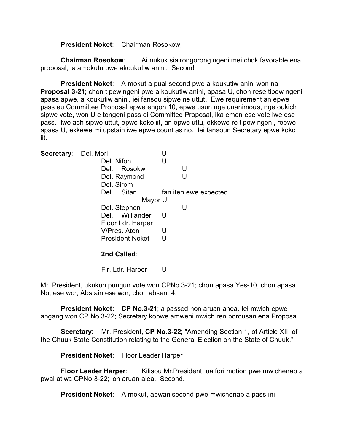**President Noket**: Chairman Rosokow,

**Chairman Rosokow:** Ai nukuk sia rongorong ngeni mei chok favorable ena proposal, ia amokutu pwe akoukutiw anini. Second

**President Noket**: A mokut a pual second pwe a koukutiw anini won na **Proposal 3-21**; chon tipew ngeni pwe a koukutiw anini, apasa U, chon rese tipew ngeni apasa apwe, a koukutiw anini, iei fansou sipwe ne uttut. Ewe requirement an epwe pass eu Committee Proposal epwe engon 10, epwe usun nge unanimous, nge oukich sipwe vote, won U e tongeni pass ei Committee Proposal, ika emon ese vote iwe ese pass. Iwe ach sipwe uttut, epwe koko iit, an epwe uttu, ekkewe re tipew ngeni, repwe apasa U, ekkewe mi upstain iwe epwe count as no. Iei fansoun Secretary epwe koko iit.

| Secretary: Del. Mori |                        | U                     |  |  |
|----------------------|------------------------|-----------------------|--|--|
|                      | Del. Nifon             | U                     |  |  |
|                      | Del. Rosokw            | U                     |  |  |
|                      | Del. Raymond           | U                     |  |  |
|                      | Del. Sirom             |                       |  |  |
|                      | Sitan<br>Del.          | fan iten ewe expected |  |  |
|                      | Mayor U                |                       |  |  |
|                      | Del. Stephen           | U                     |  |  |
|                      | Del. Williander        | U                     |  |  |
|                      | Floor Ldr. Harper      |                       |  |  |
|                      | V/Pres. Aten           | U                     |  |  |
|                      | <b>President Noket</b> | U                     |  |  |
|                      | 2nd Called:            |                       |  |  |

Flr. Ldr. Harper U

Mr. President, ukukun pungun vote won CPNo.3-21; chon apasa Yes-10, chon apasa No, ese wor, Abstain ese wor, chon absent 4.

**President Noket: CP No.3-21**; a passed non aruan anea. Iei mwich epwe angang won CP No.3-22; Secretary kopwe amweni mwich ren porousan ena Proposal.

**Secretary**: Mr. President, **CP No.3-22**; "Amending Section 1, of Article XII, of the Chuuk State Constitution relating to the General Election on the State of Chuuk."

**President Noket**: Floor Leader Harper

**Floor Leader Harper**: Kilisou Mr.President, ua fori motion pwe mwichenap a pwal atiwa CPNo.3-22; lon aruan alea. Second.

**President Noket:** A mokut, apwan second pwe mwichenap a pass-ini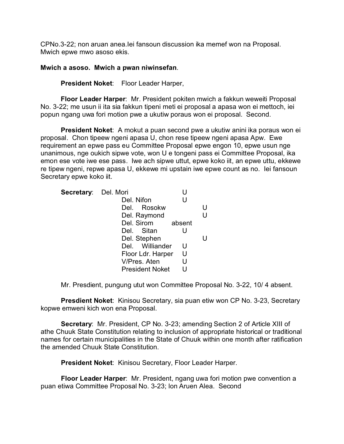CPNo.3-22; non aruan anea.Iei fansoun discussion ika memef won na Proposal. Mwich epwe mwo asoso ekis.

### **Mwich a asoso. Mwich a pwan niwinsefan**.

**President Noket**: Floor Leader Harper,

**Floor Leader Harper**: Mr. President pokiten mwich a fakkun weweiti Proposal No. 3-22; me usun ii ita sia fakkun tipeni meti ei proposal a apasa won ei mettoch, iei popun ngang uwa fori motion pwe a ukutiw poraus won ei proposal. Second.

**President Noket**: A mokut a puan second pwe a ukutiw anini ika poraus won ei proposal. Chon tipeew ngeni apasa U, chon rese tipeew ngeni apasa Apw. Ewe requirement an epwe pass eu Committee Proposal epwe engon 10, epwe usun nge unanimous, nge oukich sipwe vote, won U e tongeni pass ei Committee Proposal, ika emon ese vote iwe ese pass. Iwe ach sipwe uttut, epwe koko iit, an epwe uttu, ekkewe re tipew ngeni, repwe apasa U, ekkewe mi upstain iwe epwe count as no. Iei fansoun Secretary epwe koko iit.

| Secretary: Del. Mori |                        |   |  |
|----------------------|------------------------|---|--|
|                      | Del. Nifon             | U |  |
|                      | Del. Rosokw            |   |  |
|                      | Del. Raymond           |   |  |
|                      | Del. Sirom absent      |   |  |
|                      | Del. Sitan             | U |  |
|                      | Del. Stephen           |   |  |
|                      | Del. Williander        | U |  |
|                      | Floor Ldr. Harper      | U |  |
|                      | V/Pres. Aten           | U |  |
|                      | <b>President Noket</b> |   |  |

Mr. Presdient, pungung utut won Committee Proposal No. 3-22, 10/ 4 absent.

**Presdient Noket**: Kinisou Secretary, sia puan etiw won CP No. 3-23, Secretary kopwe emweni kich won ena Proposal.

**Secretary**: Mr. President, CP No. 3-23; amending Section 2 of Article XIII of athe Chuuk State Constitution relating to inclusion of appropriate historical or traditional names for certain municipalities in the State of Chuuk within one month after ratification the amended Chuuk State Constitution.

**President Noket**: Kinisou Secretary, Floor Leader Harper.

**Floor Leader Harper**: Mr. President, ngang uwa fori motion pwe convention a puan etiwa Committee Proposal No. 3-23; lon Aruen Alea. Second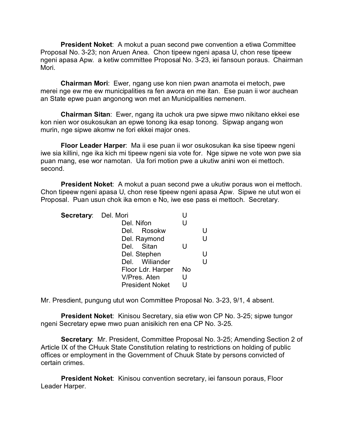**President Noket**: A mokut a puan second pwe convention a etiwa Committee Proposal No. 3-23; non Aruen Anea. Chon tipeew ngeni apasa U, chon rese tipeew ngeni apasa Apw. a ketiw committee Proposal No. 3-23, iei fansoun poraus. Chairman Mori.

**Chairman Mori**: Ewer, ngang use kon nien pwan anamota ei metoch, pwe merei nge ew me ew municipalities ra fen awora en me itan. Ese puan ii wor auchean an State epwe puan angonong won met an Municipalities nemenem.

**Chairman Sitan**: Ewer, ngang ita uchok ura pwe sipwe mwo nikitano ekkei ese kon nien wor osukosukan an epwe tonong ika esap tonong. Sipwap angang won murin, nge sipwe akomw ne fori ekkei major ones.

**Floor Leader Harper**: Ma ii ese puan ii wor osukosukan ika sise tipeew ngeni iwe sia killini, nge ika kich mi tipeew ngeni sia vote for. Nge sipwe ne vote won pwe sia puan mang, ese wor namotan. Ua fori motion pwe a ukutiw anini won ei mettoch. second.

**President Noket**: A mokut a puan second pwe a ukutiw poraus won ei mettoch. Chon tipeew ngeni apasa U, chon rese tipeew ngeni apasa Apw. Sipwe ne utut won ei Proposal. Puan usun chok ika emon e No, iwe ese pass ei mettoch. Secretary.

| Secretary: Del. Mori |                        |    |   |
|----------------------|------------------------|----|---|
|                      | Del. Nifon             | U  |   |
|                      | Del. Rosokw            |    |   |
|                      | Del. Raymond           |    | U |
|                      | Del. Sitan             |    |   |
|                      | Del. Stephen           |    |   |
|                      | Del. Wiliander         |    | U |
|                      | Floor Ldr. Harper      | No |   |
|                      | V/Pres. Aten           | U  |   |
|                      | <b>President Noket</b> |    |   |

Mr. Presdient, pungung utut won Committee Proposal No. 3-23, 9/1, 4 absent.

**President Noket**: Kinisou Secretary, sia etiw won CP No. 3-25; sipwe tungor ngeni Secretary epwe mwo puan anisikich ren ena CP No. 3-25.

**Secretary**: Mr. President, Committee Proposal No. 3-25; Amending Section 2 of Article IX of the CHuuk State Constitution relating to restrictions on holding of public offices or employment in the Government of Chuuk State by persons convicted of certain crimes.

**President Noket**: Kinisou convention secretary, iei fansoun poraus, Floor Leader Harper.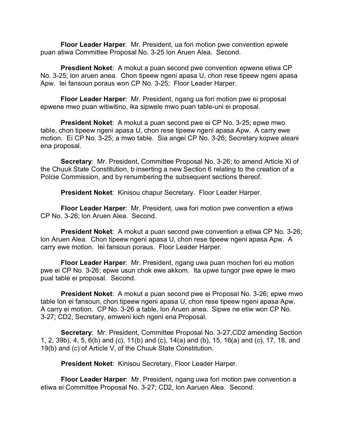**Floor Leader Harper**. Mr. President, ua fori motion pwe convention epwele puan atiwa Committee Proposal No. 3-25 lon Aruen Alea. Second.

**Presdient Noket**: A mokut a puan second pwe convention epwene etiwa CP No. 3-25; lon aruen anea. Chon tipeew ngeni apasa U, chon rese tipeew ngeni apasa Apw. Iei fansoun poraus won CP No. 3-25; Floor Leader Harper.

**Floor Leader Harper**: Mr. President, ngang ua fori motion pwe ei proposal epwene mwo puan witiwitino, ika sipwele mwo puan table-uni ei proposal.

**President Noket**: A mokut a puan second pwe ei CP No. 3-25; epwe mwo table, chon tipeew ngeni apasa U, chon rese tipeew ngeni apasa Apw. A carry ewe motion. Ei CP No. 3-25; a mwo table. Sia angei CP No. 3-26; Secretary kopwe aleani ena proposal.

**Secretary**: Mr. President, Committee Proposal No. 3-26; to amend Article XI of the Chuuk State Constitution, b inserting a new Section 6 relating to the creation of a Polcie Commission, and by renumbering the subsequent sections thereof.

**President Noket**: Kinisou chapur Secretary. Floor Leader Harper.

**Floor Leader Harper**: Mr. President, uwa fori motion pwe convention a etiwa CP No. 3-26; lon Aruen Alea. Second.

**President Noket**: A mokut a puan second pwe convention a etiwa CP No. 3-26; lon Aruen Alea. Chon tipeew ngeni apasa U, chon rese tipeew ngeni apasa Apw. A carry ewe motion. Iei fansoun poraus. Floor Leader Harper.

**Floor Leader Harper**: Mr. President, ngang uwa puan mochen fori eu motion pwe ei CP No. 3-26; epwe usun chok ewe akkom. Ita upwe tungor pwe epwe le mwo pual table ei proposal. Second.

**President Noket**: A mokut a puan second pwe ei Proposal No. 3-26; epwe mwo table lon ei fansoun, chon tipeew ngeni apasa U, chon rese tipeew ngeni apasa Apw. A carry ei motion. CP No. 3-26 a table, lon Aruen anea. Sipwe ne etiw won CP No. 3-27; CD2, Secretary, emweni kich ngeni ena Proposal.

**Secretary**: Mr. President, Committee Proposal No. 3-27,CD2 amending Section 1, 2, 39b), 4, 5, 6(b) and (c), 11(b) and (c), 14(a) and (b), 15, 16(a) and (c), 17, 18, and 19(b) and (c) of Article V, of the Chuuk State Constitution.

**President Noket**: Kinisou Secretary, Floor Leader Harper.

**Floor Leader Harper**: Mr. President, ngang uwa fori motion pwe convention a etiwa ei Committee Proposal No. 3-27; CD2, lon Aaruen Alea. Second.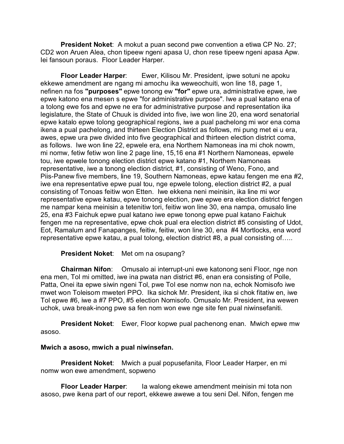**President Noket**: A mokut a puan second pwe convention a etiwa CP No. 27; CD2 won Aruen Alea, chon tipeew ngeni apasa U, chon rese tipeew ngeni apasa Apw. Iei fansoun poraus. Floor Leader Harper.

**Floor Leader Harper:** Ewer, Kilisou Mr. President, ipwe sotuni ne apoku ekkewe amendment are ngang mi amochu ika weweochuiti, won line 18, page 1, nefinen na fos **"purposes"** epwe tonong ew **"for"** epwe ura, administrative epwe, iwe epwe katono ena mesen s epwe "for administrative purpose". Iwe a pual katano ena of a tolong ewe fos and epwe ne era for administrative purpose and representation ika legislature, the State of Chuuk is divided into five, iwe won line 20, ena word senatorial epwe katalo epwe tolong geographical regions, iwe a pual pachelong mi wor ena coma ikena a pual pachelong, and thirteen Election District as follows, mi pung met ei u era, awes, epwe ura pwe divided into five geographical and thirteen election district coma, as follows. Iwe won line 22, epwele era, ena Northern Namoneas ina mi chok nowm, mi nomw, fetiw fetiw won line 2 page line, 15,16 ena #1 Northern Namoneas, epwele tou, iwe epwele tonong election district epwe katano #1, Northern Namoneas representative, iwe a tonong election district, #1, consisting of Weno, Fono, and Piis-Panew five members, line 19, Southern Namoneas, epwe katau fengen me ena #2, iwe ena representative epwe pual tou, nge epwele tolong, election district #2, a pual consisting of Tonoas feitiw won Etten. Iwe ekkena neni meinisin, ika line mi wor representative epwe katau, epwe tonong election, pwe epwe era election district fengen me nampar kena meinisin a tetenitiw tori, feitiw won line 30, ena nampa, omusalo line 25, ena #3 Faichuk epwe pual katano iwe epwe tonong epwe pual katano Faichuk fengen me na representative, epwe chok pual era election district #5 consisting of Udot, Eot, Ramalum and Fanapanges, feitiw, feitiw, won line 30, ena #4 Mortlocks, ena word representative epwe katau, a pual tolong, election district #8, a pual consisting of…..

### **President Noket**: Met om na osupang?

**Chairman Nifon**: Omusalo ai interrupt-uni ewe katonong seni Floor, nge non ena men, Tol mi omitted, iwe ina pwata nan district #6, enan era consisting of Polle, Patta, Onei ita epwe siwin ngeni Tol, pwe Tol ese nomw non na, echok Nomisofo iwe mwet won Toleisom mweteri PPO. Ika sichok Mr. President, ika si chok fitatiw en, iwe Tol epwe #6, iwe a #7 PPO, #5 election Nomisofo. Omusalo Mr. President, ina wewen uchok, uwa break-inong pwe sa fen nom won ewe nge site fen pual niwinsefaniti.

**President Noket**: Ewer, Floor kopwe pual pachenong enan. Mwich epwe mw asoso.

### **Mwich a asoso, mwich a pual niwinsefan.**

**President Noket**: Mwich a pual popusefanita, Floor Leader Harper, en mi nomw won ewe amendment, sopweno

**Floor Leader Harper**: Ia walong ekewe amendment meinisin mi tota non asoso, pwe ikena part of our report, ekkewe awewe a tou seni Del. Nifon, fengen me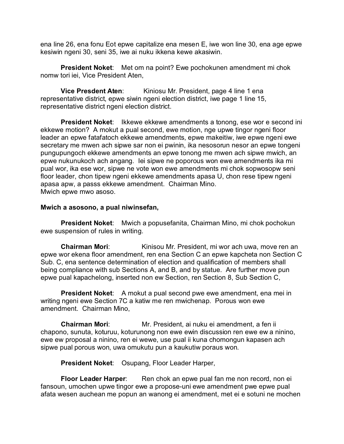ena line 26, ena fonu Eot epwe capitalize ena mesen E, iwe won line 30, ena age epwe kesiwin ngeni 30, seni 35, iwe ai nuku ikkena kewe akasiwin.

**President Noket**: Met om na point? Ewe pochokunen amendment mi chok nomw tori iei, Vice President Aten,

**Vice Presdent Aten:** Kiniosu Mr. President, page 4 line 1 ena representative district, epwe siwin ngeni election district, iwe page 1 line 15, representative district ngeni election district.

**President Noket**: Ikkewe ekkewe amendments a tonong, ese wor e second ini ekkewe motion? A mokut a pual second, ewe motion, nge upwe tingor ngeni floor leader an epwe fatafatoch ekkewe amendments, epwe makeitiw, iwe epwe ngeni ewe secretary me mwen ach sipwe sar non ei pwinin, ika nesosorun nesor an epwe tongeni pungupungoch ekkewe amendments an epwe tonong me mwen ach sipwe mwich, an epwe nukunukoch ach angang. Iei sipwe ne poporous won ewe amendments ika mi pual wor, ika ese wor, sipwe ne vote won ewe amendments mi chok sopwosopw seni floor leader, chon tipew ngeni ekkewe amendments apasa U, chon rese tipew ngeni apasa apw, a passs ekkewe amendment. Chairman Mino. Mwich epwe mwo asoso.

# **Mwich a asosono, a pual niwinsefan,**

**President Noket**: Mwich a popusefanita, Chairman Mino, mi chok pochokun ewe suspension of rules in writing.

**Chairman Mori:** Kinisou Mr. President, mi wor ach uwa, move ren an epwe wor ekena floor amendment, ren ena Section C an epwe kapcheta non Section C Sub. C, ena sentence determination of election and qualification of members shall being compliance with sub Sections A, and B, and by statue. Are further move pun epwe pual kapachelong, inserted non ew Section, ren Section 8, Sub Section C,

**President Noket:** A mokut a pual second pwe ewe amendment, ena mei in writing ngeni ewe Section 7C a katiw me ren mwichenap. Porous won ewe amendment. Chairman Mino,

**Chairman Mori**: Mr. President, ai nuku ei amendment, a fen ii chapono, sunuta, koturuu, koturunong non ewe ewin discussion ren ewe ew a ninino, ewe ew proposal a ninino, ren ei wewe, use pual ii kuna chomongun kapasen ach sipwe pual porous won, uwa omukutu pun a kaukutiw poraus won.

**President Noket**: Osupang, Floor Leader Harper,

**Floor Leader Harper:** Ren chok an epwe pual fan me non record, non ei fansoun, umochen upwe tingor ewe a propose-uni ewe amendment pwe epwe pual afata wesen auchean me popun an wanong ei amendment, met ei e sotuni ne mochen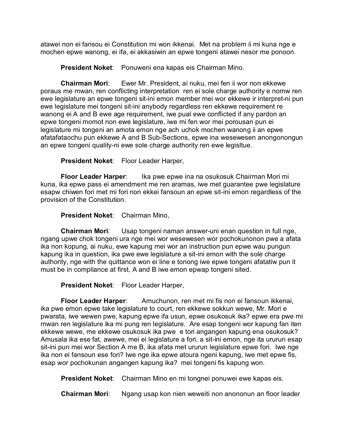atawei non ei fansou ei Constitution mi won ikkenai. Met na problem ii mi kuna nge e mochen epwe wanong, ei ifa, ei akkasiwin an epwe tongeni atawei nesor me ponoon.

**President Noket**: Ponuweni ena kapas eis Chairman Mino.

**Chairman Mori**: Ewer Mr. President, ai nuku, mei fen ii wor non ekkewe poraus me mwan, ren conflicting interpretation ren ei sole charge authority e nomw ren ewe legislature an epwe tongeni sit-ini emon member mei wor ekkewe ir interpret-ni pun ewe legislature mei tongeni sit-ini anybody regardless ren ekkewe requirement re wanong ei A and B ewe age requirement, iwe pual ewe conflicted if any pardon an epwe tongeni momot non ewe legislature, iwe mi fen wor mei porousan pun ei legislature mi tongeni an amota emon nge ach uchok mochen wanong ii an epwe afatafataochu pun ekkewe A and B Sub-Sections, epwe ina wesewesen anongonongun an epwe tongeni quality-ni ewe sole charge authority ren ewe legisltue.

**President Noket**: Floor Leader Harper,

**Floor Leader Harper**: Ika pwe epwe ina na osukosuk Chairman Mori mi kuna, ika epwe pass ei amendment me ren aramas, iwe met guarantee pwe legislature esapw chiwen fori met mi fori non ekkei fansoun an epwe sit-ini emon regardless of the provision of the Constitution.

**President Noket**: Chairman Mino,

**Chairman Mori**: Usap tongeni naman answer-uni enan question in full nge, ngang upwe chok tongeni ura nge mei wor wesewesen wor pochokunonon pwe a afata ika non kopung, ai nuku, ewe kapung mei wor an instruction pun epwe wau pungun kapung ika in question, ika pwe ewe legislature a sit-ini emon with the sole charge authority, nge with the quittance won ei line e tonong iwe epwe tongeni afatatiw pun it must be in compliance at first, A and B iwe emon epwap tongeni sited.

**President Noket**: Floor Leader Harper,

**Floor Leader Harper**: Amuchunon, ren met mi fis non ei fansoun ikkenai, ika pwe emon epwe take legislature to court, ren ekkewe sokkun wewe, Mr. Mori e pwarata, iwe wewen pwe, kapung epwe ifa usun, epwe osukosuk ika? epwe era pwe mi mwan ren legislature ika mi pung ren legislature. Are esap tongeni wor kapung fan iten ekkewe wewe, me ekkewe osukosuk ika pwe e tori angangen kapung ena osukosuk? Amusala ika ese fat, awewe, mei ei legislature a fori, a sit-ini emon, nge ita ururun esap sit-ini pun mei wor Section A me B, ika afata met ururun legislature epwe fori. Iwe nge ika non ei fansoun ese fori? Iwe nge ika epwe atoura ngeni kapung, iwe met epwe fis, esap wor pochokunan angangen kapung ika? mei tongeni fis kapung won.

**President Noket**: Chairman Mino en mi tongnei ponuwei ewe kapas eis.

**Chairman Mori:** Ngang usap kon nien weweiti non anononun an floor leader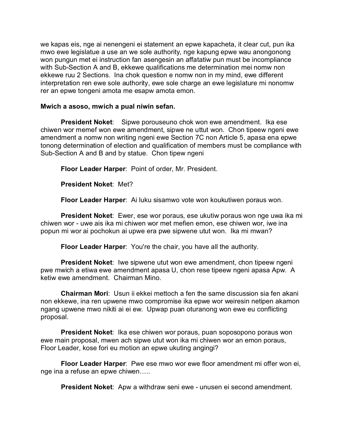we kapas eis, nge ai nenengeni ei statement an epwe kapacheta, it clear cut, pun ika mwo ewe legislatue a use an we sole authority, nge kapung epwe wau anongonong won pungun met ei instruction fan asengesin an affatatiw pun must be incompliance with Sub-Section A and B, ekkewe qualifications me determination mei nomw non ekkewe ruu 2 Sections. Ina chok question e nomw non in my mind, ewe different interpretation ren ewe sole authority, ewe sole charge an ewe legislature mi nonomw rer an epwe tongeni amota me esapw amota emon.

## **Mwich a asoso, mwich a pual niwin sefan.**

**President Noket**: Sipwe porouseuno chok won ewe amendment. Ika ese chiwen wor memef won ewe amendment, sipwe ne uttut won. Chon tipeew ngeni ewe amendment a nomw non writing ngeni ewe Section 7C non Article 5, apasa ena epwe tonong determination of election and qualification of members must be compliance with Sub-Section A and B and by statue. Chon tipew ngeni

**Floor Leader Harper**: Point of order, Mr. President.

**President Noket**: Met?

**Floor Leader Harper**: Ai luku sisamwo vote won koukutiwen poraus won.

**President Noket**: Ewer, ese wor poraus, ese ukutiw poraus won nge uwa ika mi chiwen wor - uwe ais ika mi chiwen wor met mefien emon, ese chiwen wor, iwe ina popun mi wor ai pochokun ai upwe era pwe sipwene utut won. Ika mi mwan?

**Floor Leader Harper**: You're the chair, you have all the authority.

**President Noket:** Iwe sipwene utut won ewe amendment, chon tipeew ngeni pwe mwich a etiwa ewe amendment apasa U, chon rese tipeew ngeni apasa Apw. A ketiw ewe amendment. Chairman Mino.

**Chairman Mori**: Usun ii ekkei mettoch a fen the same discussion sia fen akani non ekkewe, ina ren upwene mwo compromise ika epwe wor weiresin netipen akamon ngang upwene mwo nikiti ai ei ew. Upwap puan oturanong won ewe eu conflicting proposal.

**President Noket**: Ika ese chiwen wor poraus, puan soposopono poraus won ewe main proposal, mwen ach sipwe utut won ika mi chiwen wor an emon poraus, Floor Leader, kose fori eu motion an epwe ukuting angingi?

**Floor Leader Harper**: Pwe ese mwo wor ewe floor amendment mi offer won ei, nge ina a refuse an epwe chiwen…..

**President Noket**: Apw a withdraw seni ewe - unusen ei second amendment.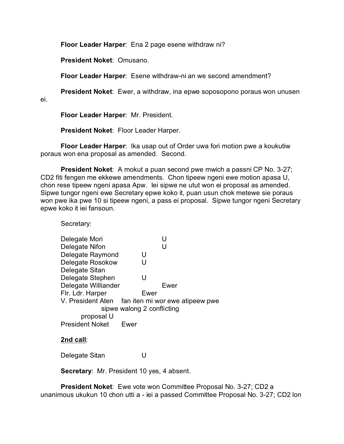**Floor Leader Harper**: Ena 2 page esene withdraw ni?

**President Noket**: Omusano.

**Floor Leader Harper**: Esene withdraw-ni an we second amendment?

**President Noket**: Ewer, a withdraw, ina epwe soposopono poraus won unusen

ei.

**Floor Leader Harper**: Mr. President.

**President Noket**: Floor Leader Harper.

**Floor Leader Harper**: Ika usap out of Order uwa fori motion pwe a koukutiw poraus won ena proposal as amended. Second.

**President Noket**: A mokut a puan second pwe mwich a passni CP No. 3-27; CD2 fiti fengen me ekkewe amendments. Chon tipeew ngeni ewe motion apasa U, chon rese tipeew ngeni apasa Apw. Iei sipwe ne utut won ei proposal as amended. Sipwe tungor ngeni ewe Secretary epwe koko it, puan usun chok metewe sie poraus won pwe ika pwe 10 si tipeew ngeni, a pass ei proposal. Sipwe tungor ngeni Secretary epwe koko it iei fansoun.

Secretary:

| Delegate Mori              | U                               |  |  |  |
|----------------------------|---------------------------------|--|--|--|
| Delegate Nifon             | U                               |  |  |  |
| Delegate Raymond           | U                               |  |  |  |
| Delegate Rosokow           | U                               |  |  |  |
| Delegate Sitan             |                                 |  |  |  |
| Delegate Stephen           | U                               |  |  |  |
| Delegate Williander        | Ewer                            |  |  |  |
| Flr. Ldr. Harper           | Ewer                            |  |  |  |
| V. President Aten          | fan iten mi wor ewe atipeew pwe |  |  |  |
| sipwe walong 2 conflicting |                                 |  |  |  |
| proposal U                 |                                 |  |  |  |
| <b>President Noket</b>     | Fwer                            |  |  |  |

# **2nd call**:

Delegate Sitan U

**Secretary**: Mr. President 10 yes, 4 absent.

**President Noket**: Ewe vote won Committee Proposal No. 3-27; CD2 a unanimous ukukun 10 chon utti a - iei a passed Committee Proposal No. 3-27; CD2 lon